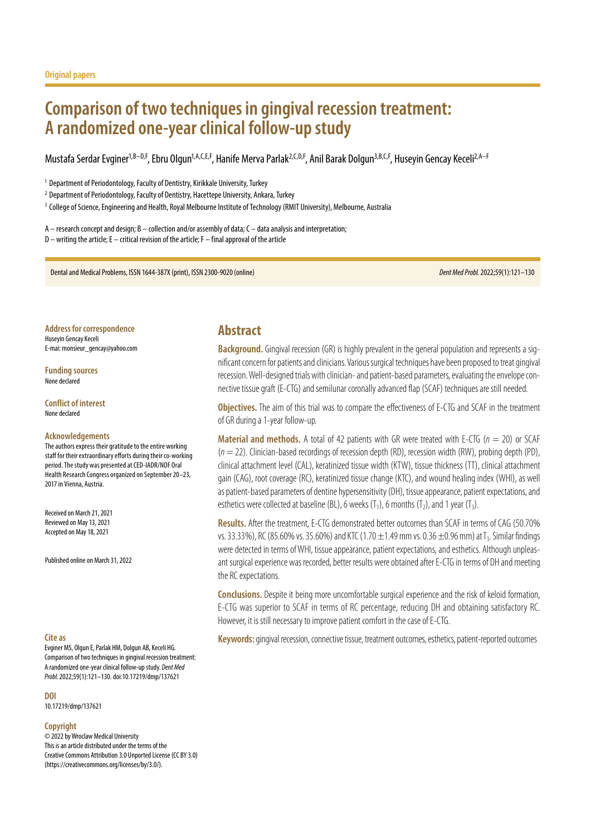# **Comparison of two techniques in gingival recession treatment: A randomized one-year clinical follow-up study**

Mustafa Serdar Evginer<sup>1,B–D,F</sup>, Ebru Olgun<sup>1,A,C,E,F</sup>, Hanife Merva Parlak<sup>2,C,D,F</sup>, Anil Barak Dolgun<sup>3,B,C,F</sup>, Huseyin Gencay Keceli<sup>2,A–F</sup>

<sup>1</sup> Department of Periodontology, Faculty of Dentistry, Kirikkale University, Turkey

<sup>2</sup> Department of Periodontology, Faculty of Dentistry, Hacettepe University, Ankara, Turkey

<sup>3</sup> College of Science, Engineering and Health, Royal Melbourne Institute of Technology (RMIT University), Melbourne, Australia

A – research concept and design; B – collection and/or assembly of data; C – data analysis and interpretation; D – writing the article; E – critical revision of the article; F – final approval of the article

Dental and Medical Problems, ISSN 1644-387X (print), ISSN 2300-9020 (online) *Dent Med Probl.* 2022;59(1):121–130

**Address for correspondence** Huseyin Gencay Keceli E-mai: monsieur\_gencay@yahoo.com

**Funding sources** None declared

**Conflict of interest** None declared

#### **Acknowledgements**

The authors express their gratitude to the entire working staff for their extraordinary efforts during their co-working period. The study was presented at CED-IADR/NOF Oral Health Research Congress organized on September 20–23, 2017 in Vienna, Austria.

Received on March 21, 2021 Reviewed on May 13, 2021 Accepted on May 18, 2021

Published online on March 31, 2022

Evginer MS, Olgun E, Parlak HM, Dolgun AB, Keceli HG. Comparison of two techniques in gingival recession treatment: A randomized one-year clinical follow-up study. *Dent Med Probl.* 2022;59(1):121–130. doi:10.17219/dmp/137621

**DOI**

10.17219/dmp/137621

#### **Copyright**

© 2022 by Wroclaw Medical University This is an article distributed under the terms of the Creative Commons Attribution 3.0 Unported License (CC BY 3.0) [\(https://creativecommons.org/licenses/by/3.0/\)](https://creativecommons.org/licenses/by/3.0/).

# **Abstract**

**Background.** Gingival recession (GR) is highly prevalent in the general population and represents a significant concern for patients and clinicians. Various surgical techniques have been proposed to treat gingival recession. Well-designed trials with clinician- and patient-based parameters, evaluating the envelope connective tissue graft (E-CTG) and semilunar coronally advanced flap (SCAF) techniques are still needed.

**Objectives.** The aim of this trial was to compare the effectiveness of E-CTG and SCAF in the treatment of GR during a 1-year follow-up.

**Material and methods.** A total of 42 patients with GR were treated with E-CTG (*n* = 20) or SCAF (*n* = 22). Clinician-based recordings of recession depth (RD), recession width (RW), probing depth (PD), clinical attachment level (CAL), keratinized tissue width (KTW), tissue thickness (TT), clinical attachment gain (CAG), root coverage (RC), keratinized tissue change (KTC), and wound healing index (WHI), as well as patient-based parameters of dentine hypersensitivity (DH), tissue appearance, patient expectations, and esthetics were collected at baseline (BL), 6 weeks  $(T_1)$ , 6 months  $(T_2)$ , and 1 year  $(T_3)$ .

**Results.** After the treatment, E-CTG demonstrated better outcomes than SCAF in terms of CAG (50.70% vs. 33.33%), RC (85.60% vs. 35.60%) and KTC (1.70  $\pm$ 1.49 mm vs. 0.36  $\pm$ 0.96 mm) at T<sub>3</sub>. Similar findings were detected in terms of WHI, tissue appearance, patient expectations, and esthetics. Although unpleasant surgical experience was recorded, better results were obtained after E-CTG in terms of DH and meeting the RC expectations.

**Conclusions.** Despite it being more uncomfortable surgical experience and the risk of keloid formation, E-CTG was superior to SCAF in terms of RC percentage, reducing DH and obtaining satisfactory RC. However, it is still necessary to improve patient comfort in the case of E-CTG.

**Cite as Keywords:** gingival recession, connective tissue, treatment outcomes, esthetics, patient-reported outcomes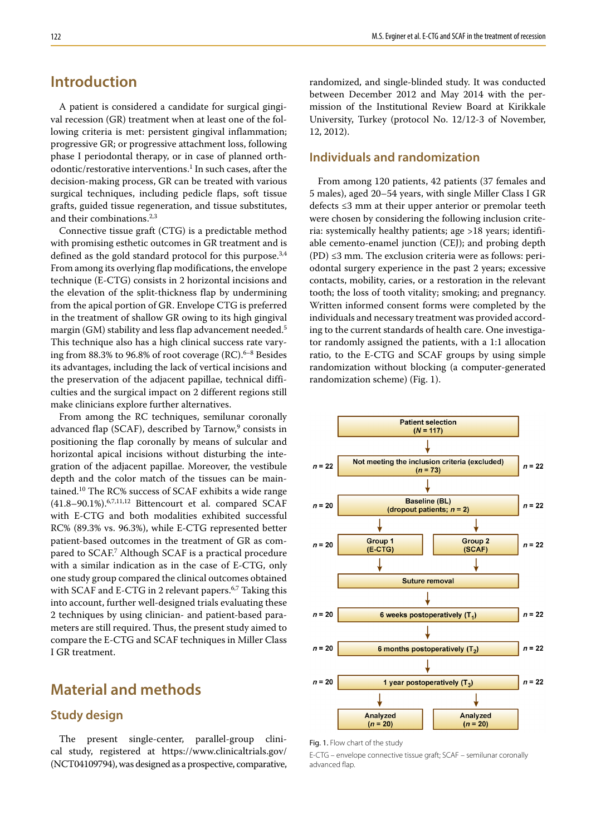# **Introduction**

A patient is considered a candidate for surgical gingival recession (GR) treatment when at least one of the following criteria is met: persistent gingival inflammation; progressive GR; or progressive attachment loss, following phase I periodontal therapy, or in case of planned orthodontic/restorative interventions.<sup>1</sup> In such cases, after the decision-making process, GR can be treated with various surgical techniques, including pedicle flaps, soft tissue grafts, guided tissue regeneration, and tissue substitutes, and their combinations.<sup>2,3</sup>

Connective tissue graft (CTG) is a predictable method with promising esthetic outcomes in GR treatment and is defined as the gold standard protocol for this purpose.<sup>3,4</sup> From among its overlying flap modifications, the envelope technique (E-CTG) consists in 2 horizontal incisions and the elevation of the split-thickness flap by undermining from the apical portion of GR. Envelope CTG is preferred in the treatment of shallow GR owing to its high gingival margin (GM) stability and less flap advancement needed.5 This technique also has a high clinical success rate varying from  $88.3\%$  to  $96.8\%$  of root coverage (RC).<sup>6–8</sup> Besides its advantages, including the lack of vertical incisions and the preservation of the adjacent papillae, technical difficulties and the surgical impact on 2 different regions still make clinicians explore further alternatives.

From among the RC techniques, semilunar coronally advanced flap (SCAF), described by Tarnow,<sup>9</sup> consists in positioning the flap coronally by means of sulcular and horizontal apical incisions without disturbing the integration of the adjacent papillae. Moreover, the vestibule depth and the color match of the tissues can be maintained.10 The RC% success of SCAF exhibits a wide range  $(41.8-90.1\%)$ .<sup>6,7,11,12</sup> Bittencourt et al. compared SCAF with E-CTG and both modalities exhibited successful RC% (89.3% vs. 96.3%), while E-CTG represented better patient-based outcomes in the treatment of GR as compared to SCAF.7 Although SCAF is a practical procedure with a similar indication as in the case of E-CTG, only one study group compared the clinical outcomes obtained with SCAF and E-CTG in 2 relevant papers.<sup>6,7</sup> Taking this into account, further well-designed trials evaluating these 2 techniques by using clinician- and patient-based parameters are still required. Thus, the present study aimed to compare the E-CTG and SCAF techniques in Miller Class I GR treatment.

# **Material and methods**

# **Study design**

The present single-center, parallel-group clinical study, registered at https://www.clinicaltrials.gov/ (NCT04109794), was designed as a prospective, comparative,

randomized, and single-blinded study. It was conducted between December 2012 and May 2014 with the permission of the Institutional Review Board at Kirikkale University, Turkey (protocol No. 12/12-3 of November, 12, 2012).

# **Individuals and randomization**

From among 120 patients, 42 patients (37 females and 5 males), aged 20–54 years, with single Miller Class I GR defects ≤3 mm at their upper anterior or premolar teeth were chosen by considering the following inclusion criteria: systemically healthy patients; age >18 years; identifiable cemento-enamel junction (CEJ); and probing depth  $(PD) \leq 3$  mm. The exclusion criteria were as follows: periodontal surgery experience in the past 2 years; excessive contacts, mobility, caries, or a restoration in the relevant tooth; the loss of tooth vitality; smoking; and pregnancy. Written informed consent forms were completed by the individuals and necessary treatment was provided according to the current standards of health care. One investigator randomly assigned the patients, with a 1:1 allocation ratio, to the E-CTG and SCAF groups by using simple randomization without blocking (a computer-generated randomization scheme) (Fig. 1).



Fig. 1. Flow chart of the study

E-CTG – envelope connective tissue graft; SCAF – semilunar coronally advanced flap.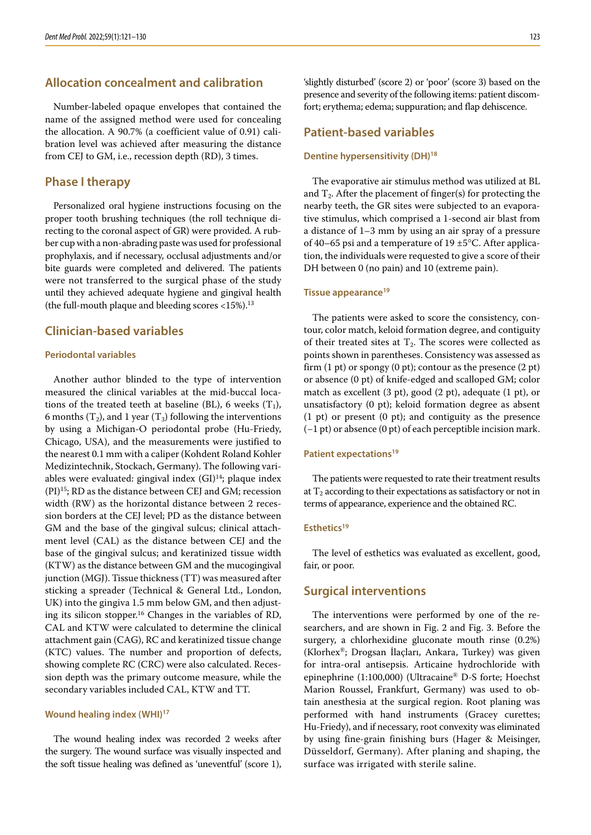# **Allocation concealment and calibration**

Number-labeled opaque envelopes that contained the name of the assigned method were used for concealing the allocation. A 90.7% (a coefficient value of 0.91) calibration level was achieved after measuring the distance from CEJ to GM, i.e., recession depth (RD), 3 times.

### **Phase I therapy**

Personalized oral hygiene instructions focusing on the proper tooth brushing techniques (the roll technique directing to the coronal aspect of GR) were provided. A rubber cup with a non-abrading paste was used for professional prophylaxis, and if necessary, occlusal adjustments and/or bite guards were completed and delivered. The patients were not transferred to the surgical phase of the study until they achieved adequate hygiene and gingival health (the full-mouth plaque and bleeding scores  $<15\%$ ).<sup>13</sup>

### **Clinician-based variables**

#### **Periodontal variables**

Another author blinded to the type of intervention measured the clinical variables at the mid-buccal locations of the treated teeth at baseline (BL), 6 weeks  $(T_1)$ , 6 months  $(T_2)$ , and 1 year  $(T_3)$  following the interventions by using a Michigan-O periodontal probe (Hu-Friedy, Chicago, USA), and the measurements were justified to the nearest 0.1 mm with a caliper (Kohdent Roland Kohler Medizintechnik, Stockach, Germany). The following variables were evaluated: gingival index (GI)<sup>14</sup>; plaque index  $(PI)^{15}$ ; RD as the distance between CEJ and GM; recession width (RW) as the horizontal distance between 2 recession borders at the CEJ level; PD as the distance between GM and the base of the gingival sulcus; clinical attachment level (CAL) as the distance between CEJ and the base of the gingival sulcus; and keratinized tissue width (KTW) as the distance between GM and the mucogingival junction (MGJ). Tissue thickness (TT) was measured after sticking a spreader (Technical & General Ltd., London, UK) into the gingiva 1.5 mm below GM, and then adjusting its silicon stopper.16 Changes in the variables of RD, CAL and KTW were calculated to determine the clinical attachment gain (CAG), RC and keratinized tissue change (KTC) values. The number and proportion of defects, showing complete RC (CRC) were also calculated. Recession depth was the primary outcome measure, while the secondary variables included CAL, KTW and TT.

#### **Wound healing index (WHI)17**

The wound healing index was recorded 2 weeks after the surgery. The wound surface was visually inspected and the soft tissue healing was defined as 'uneventful' (score 1), 'slightly disturbed' (score 2) or 'poor' (score 3) based on the presence and severity of the following items: patient discomfort; erythema; edema; suppuration; and flap dehiscence.

### **Patient-based variables**

#### **Dentine hypersensitivity (DH)18**

The evaporative air stimulus method was utilized at BL and  $T_2$ . After the placement of finger(s) for protecting the nearby teeth, the GR sites were subjected to an evaporative stimulus, which comprised a 1-second air blast from a distance of 1–3 mm by using an air spray of a pressure of 40–65 psi and a temperature of 19 ±5°C. After application, the individuals were requested to give a score of their DH between 0 (no pain) and 10 (extreme pain).

#### **Tissue appearance19**

The patients were asked to score the consistency, contour, color match, keloid formation degree, and contiguity of their treated sites at  $T_2$ . The scores were collected as points shown in parentheses. Consistency was assessed as firm  $(1 \text{ pt})$  or spongy  $(0 \text{ pt})$ ; contour as the presence  $(2 \text{ pt})$ or absence (0 pt) of knife-edged and scalloped GM; color match as excellent (3 pt), good (2 pt), adequate (1 pt), or unsatisfactory (0 pt); keloid formation degree as absent (1 pt) or present (0 pt); and contiguity as the presence (−1 pt) or absence (0 pt) of each perceptible incision mark.

#### **Patient expectations19**

The patients were requested to rate their treatment results at  $T_2$  according to their expectations as satisfactory or not in terms of appearance, experience and the obtained RC.

#### **Esthetics19**

The level of esthetics was evaluated as excellent, good, fair, or poor.

### **Surgical interventions**

The interventions were performed by one of the researchers, and are shown in Fig. 2 and Fig. 3. Before the surgery, a chlorhexidine gluconate mouth rinse (0.2%) (Klorhex®; Drogsan İlaçları, Ankara, Turkey) was given for intra-oral antisepsis. Articaine hydrochloride with epinephrine (1:100,000) (Ultracaine® D-S forte; Hoechst Marion Roussel, Frankfurt, Germany) was used to obtain anesthesia at the surgical region. Root planing was performed with hand instruments (Gracey curettes; Hu-Friedy), and if necessary, root convexity was eliminated by using fine-grain finishing burs (Hager & Meisinger, Düsseldorf, Germany). After planing and shaping, the surface was irrigated with sterile saline.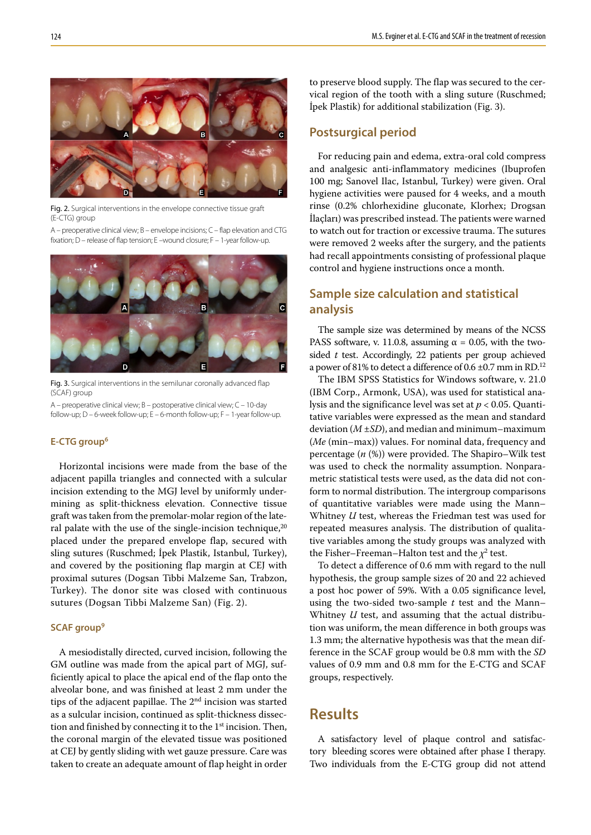

Fig. 2. Surgical interventions in the envelope connective tissue graft (E-CTG) group

A – preoperative clinical view; B – envelope incisions; C – flap elevation and CTG fixation; D – release of flap tension; E –wound closure; F – 1-year follow-up.



Fig. 3. Surgical interventions in the semilunar coronally advanced flap (SCAF) group

A – preoperative clinical view; B – postoperative clinical view; C – 10-day follow-up; D – 6-week follow-up; E – 6-month follow-up; F – 1-year follow-up.

#### **E-CTG group6**

Horizontal incisions were made from the base of the adjacent papilla triangles and connected with a sulcular incision extending to the MGJ level by uniformly undermining as split-thickness elevation. Connective tissue graft was taken from the premolar-molar region of the lateral palate with the use of the single-incision technique, $20$ placed under the prepared envelope flap, secured with sling sutures (Ruschmed; İpek Plastik, Istanbul, Turkey), and covered by the positioning flap margin at CEJ with proximal sutures (Dogsan Tibbi Malzeme San, Trabzon, Turkey). The donor site was closed with continuous sutures (Dogsan Tibbi Malzeme San) (Fig. 2).

### **SCAF group9**

A mesiodistally directed, curved incision, following the GM outline was made from the apical part of MGJ, sufficiently apical to place the apical end of the flap onto the alveolar bone, and was finished at least 2 mm under the tips of the adjacent papillae. The  $2<sup>nd</sup>$  incision was started as a sulcular incision, continued as split-thickness dissection and finished by connecting it to the  $1<sup>st</sup>$  incision. Then, the coronal margin of the elevated tissue was positioned at CEJ by gently sliding with wet gauze pressure. Care was taken to create an adequate amount of flap height in order to preserve blood supply. The flap was secured to the cervical region of the tooth with a sling suture (Ruschmed; İpek Plastik) for additional stabilization (Fig. 3).

# **Postsurgical period**

For reducing pain and edema, extra-oral cold compress and analgesic anti-inflammatory medicines (Ibuprofen 100 mg; Sanovel Ilac, Istanbul, Turkey) were given. Oral hygiene activities were paused for 4 weeks, and a mouth rinse (0.2% chlorhexidine gluconate, Klorhex; Drogsan İlaçları) was prescribed instead. The patients were warned to watch out for traction or excessive trauma. The sutures were removed 2 weeks after the surgery, and the patients had recall appointments consisting of professional plaque control and hygiene instructions once a month.

# **Sample size calculation and statistical analysis**

The sample size was determined by means of the NCSS PASS software, v. 11.0.8, assuming  $\alpha = 0.05$ , with the twosided *t* test. Accordingly, 22 patients per group achieved a power of 81% to detect a difference of 0.6  $\pm$ 0.7 mm in RD.<sup>12</sup>

The IBM SPSS Statistics for Windows software, v. 21.0 (IBM Corp., Armonk, USA), was used for statistical analysis and the significance level was set at *p* < 0.05. Quantitative variables were expressed as the mean and standard deviation (*M* ±*SD*), and median and minimum–maximum (*Me* (min–max)) values. For nominal data, frequency and percentage (*n* (%)) were provided. The Shapiro–Wilk test was used to check the normality assumption. Nonparametric statistical tests were used, as the data did not conform to normal distribution. The intergroup comparisons of quantitative variables were made using the Mann– Whitney *U* test, whereas the Friedman test was used for repeated measures analysis. The distribution of qualitative variables among the study groups was analyzed with the Fisher–Freeman–Halton test and the  $\chi^2$  test.

To detect a difference of 0.6 mm with regard to the null hypothesis, the group sample sizes of 20 and 22 achieved a post hoc power of 59%. With a 0.05 significance level, using the two-sided two-sample *t* test and the Mann– Whitney *U* test, and assuming that the actual distribution was uniform, the mean difference in both groups was 1.3 mm; the alternative hypothesis was that the mean difference in the SCAF group would be 0.8 mm with the *SD* values of 0.9 mm and 0.8 mm for the E-CTG and SCAF groups, respectively.

# **Results**

A satisfactory level of plaque control and satisfactory bleeding scores were obtained after phase I therapy. Two individuals from the E-CTG group did not attend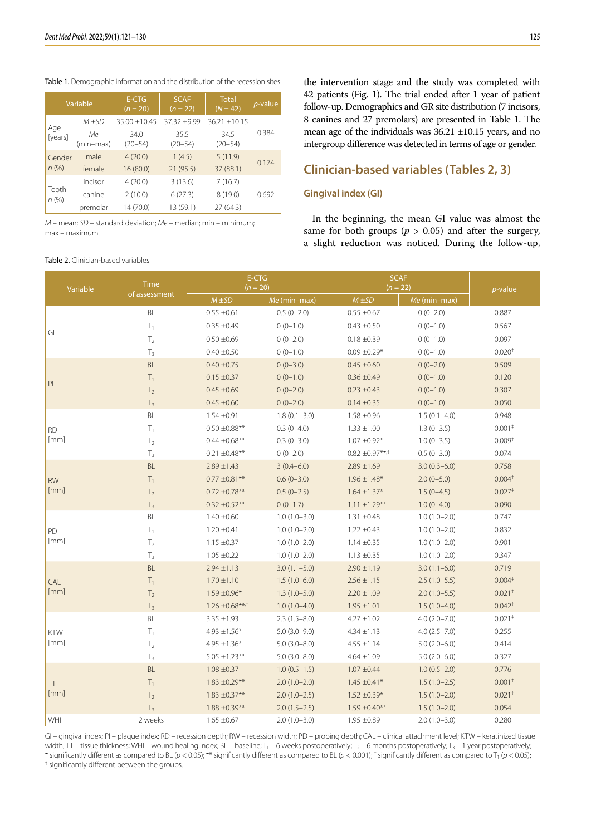#### Table 1. Demographic information and the distribution of the recession sites

| Variable         |                 | E-CTG<br>$(n = 20)$ | <b>SCAF</b><br>$(n = 22)$ | <b>Total</b><br>$(N = 42)$ | <i>p</i> -value |  |
|------------------|-----------------|---------------------|---------------------------|----------------------------|-----------------|--|
|                  | $M + SD$        | $35.00 + 10.45$     | 37.32 ±9.99               | $36.21 + 10.15$            |                 |  |
| Age<br>[years]   | Мe<br>(min-max) | 34.0<br>$(20 - 54)$ | 35.5<br>$(20 - 54)$       | 34.5<br>$(20 - 54)$        | 0.384           |  |
| Gender<br>n(%)   | male            | 4(20.0)             | 1(4.5)                    | 5(11.9)                    |                 |  |
|                  | female          | 16(80.0)            | 21(95.5)                  | 37 (88.1)                  | 0.174           |  |
| Tooth<br>$n$ (%) | incisor         | 4(20.0)             | 3(13.6)                   | 7(16.7)                    |                 |  |
|                  | canine          | 2(10.0)             | 6(27.3)                   | 8(19.0)                    | 0.692           |  |
|                  | premolar        | 14 (70.0)           | 13 (59.1)                 | 27(64.3)                   |                 |  |

*M* – mean; *SD* – standard deviation; *Me* – median; min – minimum; max – maximum.

#### Table 2. Clinician-based variables

the intervention stage and the study was completed with 42 patients (Fig. 1). The trial ended after 1 year of patient follow-up. Demographics and GR site distribution (7 incisors, 8 canines and 27 premolars) are presented in Table 1. The mean age of the individuals was 36.21 ±10.15 years, and no intergroup difference was detected in terms of age or gender.

# **Clinician-based variables (Tables 2, 3)**

#### **Gingival index (GI)**

In the beginning, the mean GI value was almost the same for both groups ( $p > 0.05$ ) and after the surgery, a slight reduction was noticed. During the follow-up,

| Variable      | <b>Time</b><br>of assessment | $(n = 20)$         | E-CTG            | <b>SCAF</b><br>$(n = 22)$ | p-value          |                                     |
|---------------|------------------------------|--------------------|------------------|---------------------------|------------------|-------------------------------------|
|               |                              | $M \pm SD$         | Me (min-max)     | $M \pm SD$                | Me (min-max)     |                                     |
|               | BL                           | $0.55 \pm 0.61$    | $0.5(0-2.0)$     | $0.55 \pm 0.67$           | $0(0-2.0)$       | 0.887                               |
|               | $\mathsf{T}_1$               | $0.35 \pm 0.49$    | $0(0-1.0)$       | $0.43 \pm 0.50$           | $0(0-1.0)$       | 0.567                               |
| GI            | T <sub>2</sub>               | $0.50 \pm 0.69$    | $0(0-2.0)$       | $0.18 \pm 0.39$           | $0(0-1.0)$       | 0.097                               |
|               | $T_3$                        | $0.40 \pm 0.50$    | $0(0-1.0)$       | $0.09 \pm 0.29*$          | $0(0-1.0)$       | 0.020 <sup>‡</sup>                  |
|               | $\mathsf{BL}$                | $0.40 \pm 0.75$    | $0(0-3.0)$       | $0.45 \pm 0.60$           | $0(0-2.0)$       | 0.509                               |
|               | $T_1$                        | $0.15 \pm 0.37$    | $0(0-1.0)$       | $0.36 \pm 0.49$           | $0(0-1.0)$       | 0.120                               |
| $\mathsf{Pl}$ | T <sub>2</sub>               | $0.45 \pm 0.69$    | $0(0-2.0)$       | $0.23 \pm 0.43$           | $0(0-1.0)$       | 0.307                               |
|               | $\mathsf{T}_3$               | $0.45 \pm 0.60$    | $0(0-2.0)$       | $0.14 \pm 0.35$           | $0(0-1.0)$       | 0.050                               |
|               | BL                           | $1.54 \pm 0.91$    | $1.8(0.1 - 3.0)$ | $1.58 \pm 0.96$           | $1.5(0.1-4.0)$   | 0.948                               |
| <b>RD</b>     | $T_1$                        | $0.50 \pm 0.88$ ** | $0.3(0-4.0)$     | $1.33 \pm 1.00$           | $1.3(0-3.5)$     | 0.001 <sup>‡</sup>                  |
| [mm]          | $\mathsf{T}_2$               | $0.44 \pm 0.68$ ** | $0.3(0-3.0)$     | $1.07 \pm 0.92*$          | $1.0(0-3.5)$     | 0.009 <sup>‡</sup>                  |
|               | $\mathsf{T}_3$               | $0.21 \pm 0.48**$  | $0(0-2.0)$       | $0.82 \pm 0.97***$        | $0.5(0-3.0)$     | 0.074                               |
|               | $\mathsf{BL}$                | $2.89 \pm 1.43$    | $3(0.4 - 6.0)$   | $2.89 \pm 1.69$           | $3.0(0.3-6.0)$   | 0.758                               |
| <b>RW</b>     | $\mathsf{T}_1$               | $0.77 \pm 0.81***$ | $0.6(0-3.0)$     | $1.96 \pm 1.48*$          | $2.0(0-5.0)$     | $0.004*$                            |
| [mm]          | $\mathsf{T}_2$               | $0.72 \pm 0.78$ ** | $0.5(0-2.5)$     | $1.64 \pm 1.37*$          | $1.5(0-4.5)$     | $0.027$ <sup>+</sup>                |
|               | $\mathsf{T}_3$               | $0.32 \pm 0.52$ ** | $0(0-1.7)$       | $1.11 \pm 1.29***$        | $1.0(0-4.0)$     | 0.090                               |
|               | BL                           | $1.40 \pm 0.60$    | $1.0(1.0-3.0)$   | $1.31 \pm 0.48$           | $1.0(1.0-2.0)$   | 0.747                               |
| PD            | $T_1$                        | $1.20 \pm 0.41$    | $1.0(1.0-2.0)$   | $1.22 \pm 0.43$           | $1.0(1.0 - 2.0)$ | 0.832                               |
| [mm]          | T <sub>2</sub>               | $1.15 \pm 0.37$    | $1.0(1.0-2.0)$   | $1.14 \pm 0.35$           | $1.0(1.0 - 2.0)$ | 0.901                               |
|               | $\mathsf{T}_3$               | $1.05 \pm 0.22$    | $1.0(1.0-2.0)$   | $1.13 \pm 0.35$           | $1.0(1.0-2.0)$   | 0.347                               |
|               | $\mathsf{BL}$                | $2.94 \pm 1.13$    | $3.0(1.1 - 5.0)$ | $2.90 \pm 1.19$           | $3.0(1.1-6.0)$   | 0.719                               |
| CAL           | $T_1$                        | $1.70 \pm 1.10$    | $1.5(1.0-6.0)$   | $2.56 \pm 1.15$           | $2.5(1.0-5.5)$   | 0.004 <sup>‡</sup>                  |
| [mm]          | $\mathsf{T}_2$               | $1.59 \pm 0.96*$   | $1.3(1.0-5.0)$   | $2.20 \pm 1.09$           | $2.0(1.0-5.5)$   | $0.021*$                            |
|               | $T_3$                        | $1.26 \pm 0.68***$ | $1.0(1.0-4.0)$   | $1.95 \pm 1.01$           | $1.5(1.0-4.0)$   | $0.042^+$                           |
|               | BL                           | $3.35 \pm 1.93$    | $2.3(1.5-8.0)$   | $4.27 \pm 1.02$           | $4.0(2.0 - 7.0)$ | $0.021$ <sup><math>\pm</math></sup> |
| KTW           | $\mathsf{T}_1$               | $4.93 \pm 1.56*$   | $5.0(3.0-9.0)$   | $4.34 \pm 1.13$           | $4.0(2.5 - 7.0)$ | 0.255                               |
| [mm]          | T <sub>2</sub>               | $4.95 \pm 1.36*$   | $5.0(3.0 - 8.0)$ | $4.55 \pm 1.14$           | $5.0(2.0-6.0)$   | 0.414                               |
|               | $T_3$                        | $5.05 \pm 1.23$ ** | $5.0(3.0 - 8.0)$ | $4.64 \pm 1.09$           | $5.0(2.0-6.0)$   | 0.327                               |
|               | $\mathsf{BL}$                | $1.08 \pm 0.37$    | $1.0(0.5-1.5)$   | $1.07 \pm 0.44$           | $1.0(0.5-2.0)$   | 0.776                               |
| <b>TT</b>     | $T_1$                        | $1.83 \pm 0.29$ ** | $2.0(1.0-2.0)$   | $1.45 \pm 0.41*$          | $1.5(1.0-2.5)$   | $0.001*$                            |
| [mm]          | $\mathsf{T}_2$               | $1.83 \pm 0.37$ ** | $2.0(1.0-2.5)$   | $1.52 \pm 0.39*$          | $1.5(1.0-2.0)$   | $0.021$ <sup><math>\pm</math></sup> |
|               | $\mathsf{T}_3$               | $1.88 \pm 0.39**$  | $2.0(1.5-2.5)$   | $1.59 \pm 0.40$ **        | $1.5(1.0-2.0)$   | 0.054                               |
| WHI           | 2 weeks                      | $1.65 \pm 0.67$    | $2.0(1.0-3.0)$   | $1.95 \pm 0.89$           | $2.0(1.0-3.0)$   | 0.280                               |

GI – gingival index; PI – plaque index; RD – recession depth; RW – recession width; PD – probing depth; CAL – clinical attachment level; KTW – keratinized tissue width;  $TT$  – tissue thickness; WHI – wound healing index; BL – baseline;  $T_1$  – 6 weeks postoperatively;  $T_2$  – 6 months postoperatively;  $T_3$  – 1 year postoperatively; \* significantly different as compared to BL (*p* < 0.05); \*\* significantly different as compared to BL (*p* < 0.001); <sup>†</sup> significantly different as compared to T<sub>1</sub> (*p* < 0.05);<br><sup>‡</sup> significantly different between the g significantly different between the groups.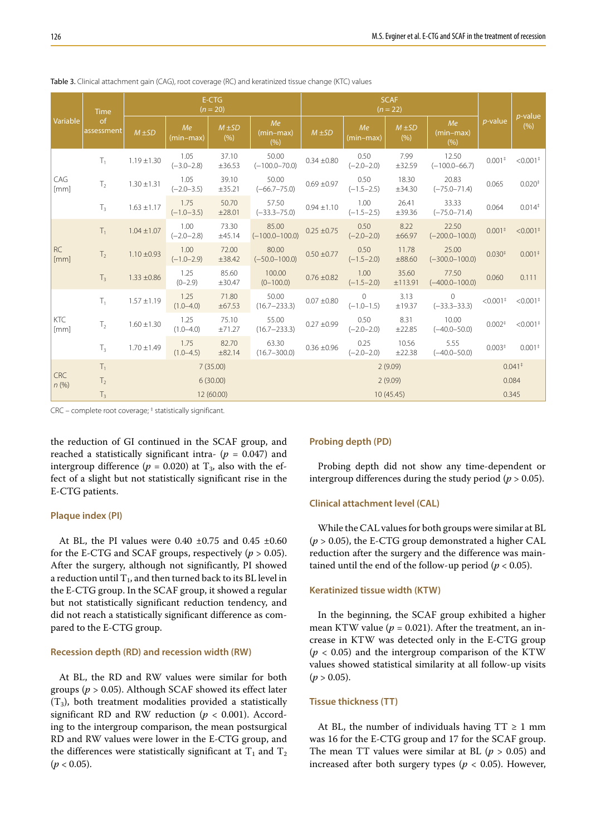| Variable           | <b>Time</b><br><sub>of</sub><br>assessment | E-CTG<br>$(n = 20)$ |                        |                   | <b>SCAF</b><br>$(n = 22)$   |                 |                            |                   |                              |                                     |                                         |
|--------------------|--------------------------------------------|---------------------|------------------------|-------------------|-----------------------------|-----------------|----------------------------|-------------------|------------------------------|-------------------------------------|-----------------------------------------|
|                    |                                            | $M \pm SD$          | Me<br>(min-max)        | $M \pm SD$<br>(%) | Me<br>(min-max)<br>(%)      | $M \pm SD$      | Me<br>$(min-max)$          | $M \pm SD$<br>(%) | Me<br>$(min-max)$<br>(% )    | <i>p</i> -value                     | $p$ -value<br>(9/6)                     |
| CAG<br>[mm]        | T <sub>1</sub>                             | $1.19 \pm 1.30$     | 1.05<br>$(-3.0 - 2.8)$ | 37.10<br>±36.53   | 50.00<br>$(-100.0 - 70.0)$  | $0.34 \pm 0.80$ | 0.50<br>$(-2.0 - 2.0)$     | 7.99<br>±32.59    | 12.50<br>$(-100.0 - 66.7)$   | $0.001*$                            | $< 0.001$ <sup>+</sup>                  |
|                    | $\mathsf{T}_2$                             | $1.30 \pm 1.31$     | 1.05<br>$(-2.0 - 3.5)$ | 39.10<br>±35.21   | 50.00<br>$(-66.7 - 75.0)$   | $0.69 \pm 0.97$ | 0.50<br>$(-1.5 - 2.5)$     | 18.30<br>±34.30   | 20.83<br>$(-75.0 - 71.4)$    | 0.065                               | 0.020 <sup>‡</sup>                      |
|                    | $T_3$                                      | $1.63 \pm 1.17$     | 1.75<br>$(-1.0 - 3.5)$ | 50.70<br>±28.01   | 57.50<br>$(-33.3 - 75.0)$   | $0.94 \pm 1.10$ | 1.00<br>$(-1.5 - 2.5)$     | 26.41<br>±39.36   | 33.33<br>$(-75.0 - 71.4)$    | 0.064                               | $0.014$ <sup><math>\dagger</math></sup> |
| <b>RC</b><br>[mm]  | $T_1$                                      | $1.04 \pm 1.07$     | 1.00<br>$(-2.0 - 2.8)$ | 73.30<br>±45.14   | 85.00<br>$(-100.0 - 100.0)$ | $0.25 \pm 0.75$ | 0.50<br>$(-2.0 - 2.0)$     | 8.22<br>±66.97    | 22.50<br>$(-200.0 - 100.0)$  | 0.001 <sup>‡</sup>                  | $< 0.001$ <sup>+</sup>                  |
|                    | T <sub>2</sub>                             | $1.10 \pm 0.93$     | 1.00<br>$(-1.0 - 2.9)$ | 72.00<br>±38.42   | 80.00<br>$(-50.0 - 100.0)$  | $0.50 \pm 0.77$ | 0.50<br>$(-1.5 - 2.0)$     | 11.78<br>±88.60   | 25.00<br>$(-300.0 - 100.0)$  | $0.030*$                            | 0.001 <sup>‡</sup>                      |
|                    | $T_3$                                      | $1.33 \pm 0.86$     | 1.25<br>$(0-2.9)$      | 85.60<br>±30.47   | 100.00<br>$(0-100.0)$       | $0.76 \pm 0.82$ | 1.00<br>$(-1.5 - 2.0)$     | 35.60<br>±113.91  | 77.50<br>$(-400.0 - 100.0)$  | 0.060                               | 0.111                                   |
| <b>KTC</b><br>[mm] | $T_1$                                      | $1.57 \pm 1.19$     | 1.25<br>$(1.0 - 4.0)$  | 71.80<br>±67.53   | 50.00<br>$(16.7 - 233.3)$   | $0.07 \pm 0.80$ | $\Omega$<br>$(-1.0 - 1.5)$ | 3.13<br>±19.37    | $\Omega$<br>$(-33.3 - 33.3)$ | $< 0.001$ <sup>+</sup>              | $< 0.001$ <sup>+</sup>                  |
|                    | T <sub>2</sub>                             | $1.60 \pm 1.30$     | 1.25<br>$(1.0 - 4.0)$  | 75.10<br>±71.27   | 55.00<br>$(16.7 - 233.3)$   | $0.27 + 0.99$   | 0.50<br>$(-2.0 - 2.0)$     | 8.31<br>±22.85    | 10.00<br>$(-40.0 - 50.0)$    | 0.002 <sup>‡</sup>                  | $< 0.001$ <sup>+</sup>                  |
|                    | $T_3$                                      | $1.70 \pm 1.49$     | 1.75<br>$(1.0 - 4.5)$  | 82.70<br>±82.14   | 63.30<br>$(16.7 - 300.0)$   | $0.36 \pm 0.96$ | 0.25<br>$(-2.0 - 2.0)$     | 10.56<br>±22.38   | 5.55<br>$(-40.0 - 50.0)$     | $0.003*$                            | 0.001 <sup>‡</sup>                      |
| <b>CRC</b><br>n(%) | $T_1$                                      | 7(35.00)            |                        |                   |                             | 2(9.09)         |                            |                   |                              | $0.041$ <sup><math>\pm</math></sup> |                                         |
|                    | T <sub>2</sub>                             | 6(30.00)            |                        |                   |                             | 2(9.09)         |                            |                   |                              | 0.084                               |                                         |
|                    | T <sub>3</sub>                             | 12 (60.00)          |                        |                   |                             | 10(45.45)       |                            |                   |                              | 0.345                               |                                         |

Table 3. Clinical attachment gain (CAG), root coverage (RC) and keratinized tissue change (KTC) values

CRC – complete root coverage; ‡ statistically significant.

the reduction of GI continued in the SCAF group, and reached a statistically significant intra-  $(p = 0.047)$  and intergroup difference ( $p = 0.020$ ) at T<sub>3</sub>, also with the effect of a slight but not statistically significant rise in the E-CTG patients.

#### **Plaque index (PI)**

At BL, the PI values were  $0.40 \pm 0.75$  and  $0.45 \pm 0.60$ for the E-CTG and SCAF groups, respectively  $(p > 0.05)$ . After the surgery, although not significantly, PI showed a reduction until  $T_1$ , and then turned back to its BL level in the E-CTG group. In the SCAF group, it showed a regular but not statistically significant reduction tendency, and did not reach a statistically significant difference as compared to the E-CTG group.

#### **Recession depth (RD) and recession width (RW)**

At BL, the RD and RW values were similar for both groups (*p* > 0.05). Although SCAF showed its effect later  $(T_3)$ , both treatment modalities provided a statistically significant RD and RW reduction ( $p < 0.001$ ). According to the intergroup comparison, the mean postsurgical RD and RW values were lower in the E-CTG group, and the differences were statistically significant at  $T_1$  and  $T_2$  $(p < 0.05)$ .

#### **Probing depth (PD)**

Probing depth did not show any time-dependent or intergroup differences during the study period ( $p > 0.05$ ).

#### **Clinical attachment level (CAL)**

While the CAL values for both groups were similar at BL (*p* > 0.05), the E-CTG group demonstrated a higher CAL reduction after the surgery and the difference was maintained until the end of the follow-up period ( $p < 0.05$ ).

### **Keratinized tissue width (KTW)**

In the beginning, the SCAF group exhibited a higher mean KTW value ( $p = 0.021$ ). After the treatment, an increase in KTW was detected only in the E-CTG group  $(p < 0.05)$  and the intergroup comparison of the KTW values showed statistical similarity at all follow-up visits  $(p > 0.05)$ .

#### **Tissue thickness (TT)**

At BL, the number of individuals having  $TT \ge 1$  mm was 16 for the E-CTG group and 17 for the SCAF group. The mean TT values were similar at BL  $(p > 0.05)$  and increased after both surgery types ( $p < 0.05$ ). However,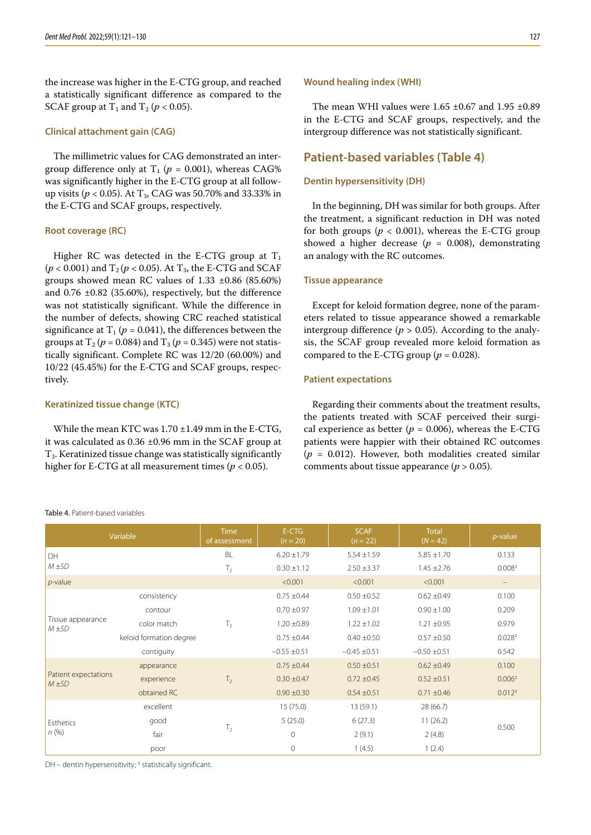the increase was higher in the E-CTG group, and reached a statistically significant difference as compared to the SCAF group at T<sub>1</sub> and T<sub>2</sub> ( $p < 0.05$ ).

#### **Clinical attachment gain (CAG)**

The millimetric values for CAG demonstrated an intergroup difference only at  $T_1$  ( $p = 0.001$ ), whereas CAG% was significantly higher in the E-CTG group at all followup visits ( $p < 0.05$ ). At T<sub>3</sub>, CAG was 50.70% and 33.33% in the E-CTG and SCAF groups, respectively.

#### **Root coverage (RC)**

Higher RC was detected in the E-CTG group at  $T_1$  $(p < 0.001)$  and  $T_2(p < 0.05)$ . At  $T_3$ , the E-CTG and SCAF groups showed mean RC values of  $1.33 \pm 0.86$  (85.60%) and 0.76 ±0.82 (35.60%), respectively, but the difference was not statistically significant. While the difference in the number of defects, showing CRC reached statistical significance at  $T_1$  ( $p = 0.041$ ), the differences between the groups at  $T_2$  ( $p = 0.084$ ) and  $T_3$  ( $p = 0.345$ ) were not statistically significant. Complete RC was 12/20 (60.00%) and 10/22 (45.45%) for the E-CTG and SCAF groups, respectively.

#### **Keratinized tissue change (KTC)**

Table 4. Patient-based variables

While the mean KTC was 1.70 ±1.49 mm in the E-CTG, it was calculated as 0.36 ±0.96 mm in the SCAF group at T3. Keratinized tissue change was statistically significantly higher for E-CTG at all measurement times (*p* < 0.05).

#### **Wound healing index (WHI)**

The mean WHI values were  $1.65 \pm 0.67$  and  $1.95 \pm 0.89$ in the E-CTG and SCAF groups, respectively, and the intergroup difference was not statistically significant.

## **Patient-based variables (Table 4)**

#### **Dentin hypersensitivity (DH)**

In the beginning, DH was similar for both groups. After the treatment, a significant reduction in DH was noted for both groups ( $p < 0.001$ ), whereas the E-CTG group showed a higher decrease ( $p = 0.008$ ), demonstrating an analogy with the RC outcomes.

#### **Tissue appearance**

Except for keloid formation degree, none of the parameters related to tissue appearance showed a remarkable intergroup difference ( $p > 0.05$ ). According to the analysis, the SCAF group revealed more keloid formation as compared to the E-CTG group ( $p = 0.028$ ).

#### **Patient expectations**

Regarding their comments about the treatment results, the patients treated with SCAF perceived their surgical experience as better ( $p = 0.006$ ), whereas the E-CTG patients were happier with their obtained RC outcomes  $(p = 0.012)$ . However, both modalities created similar comments about tissue appearance (*p* > 0.05).

| Variable                           |                         | <b>Time</b><br>of assessment | E-CTG<br>$(n = 20)$ | <b>SCAF</b><br>$(n = 22)$ | <b>Total</b><br>$(N = 42)$ | $p$ -value           |
|------------------------------------|-------------------------|------------------------------|---------------------|---------------------------|----------------------------|----------------------|
| DH                                 |                         | BL                           | $6.20 \pm 1.79$     | $5.54 \pm 1.59$           | $5.85 \pm 1.70$            | 0.133                |
| $M \pm SD$                         |                         | T <sub>2</sub>               | $0.30 \pm 1.12$     | $2.50 \pm 3.37$           | $1.45 \pm 2.76$            | 0.008 <sup>‡</sup>   |
| $p$ -value                         |                         |                              | < 0.001             | < 0.001                   | < 0.001                    | $\qquad \qquad -$    |
|                                    | consistency             |                              | $0.75 \pm 0.44$     | $0.50 \pm 0.52$           | $0.62 \pm 0.49$            | 0.100                |
|                                    | contour                 |                              | $0.70 \pm 0.97$     | $1.09 \pm 1.01$           | $0.90 \pm 1.00$            | 0.209                |
| Tissue appearance<br>$M \pm SD$    | color match             | T <sub>2</sub>               | $1.20 \pm 0.89$     | $1.22 \pm 1.02$           | $1.21 \pm 0.95$            | 0.979                |
|                                    | keloid formation degree |                              | $0.75 \pm 0.44$     | $0.40 \pm 0.50$           | $0.57 \pm 0.50$            | 0.028 <sup>‡</sup>   |
|                                    | contiguity              |                              | $-0.55 \pm 0.51$    | $-0.45 \pm 0.51$          | $-0.50 \pm 0.51$           | 0.542                |
|                                    | appearance              |                              | $0.75 \pm 0.44$     | $0.50 \pm 0.51$           | $0.62 \pm 0.49$            | 0.100                |
| Patient expectations<br>$M \pm SD$ | experience              | T <sub>2</sub>               | $0.30 \pm 0.47$     | $0.72 \pm 0.45$           | $0.52 \pm 0.51$            | 0.006 <sup>‡</sup>   |
|                                    | obtained RC             |                              | $0.90 \pm 0.30$     | $0.54 \pm 0.51$           | $0.71 \pm 0.46$            | $0.012$ <sup>‡</sup> |
|                                    | excellent               |                              | 15(75.0)            | 13 (59.1)                 | 28 (66.7)                  |                      |
| Esthetics                          | good                    | $\mathsf{T}_2$               | 5(25.0)             | 6(27.3)                   | 11(26.2)                   | 0.500                |
| $n$ (%)                            | fair                    |                              | $\overline{0}$      | 2(9.1)                    | 2(4.8)                     |                      |
|                                    | poor                    |                              | $\overline{0}$      | 1(4.5)                    | 1(2.4)                     |                      |

DH - dentin hypersensitivity;<sup>†</sup> statistically significant.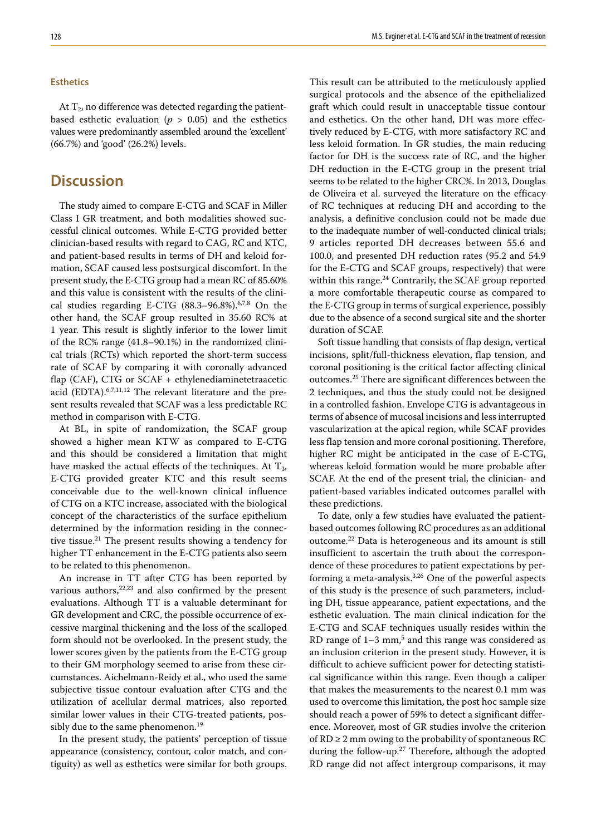#### **Esthetics**

At  $T_2$ , no difference was detected regarding the patientbased esthetic evaluation ( $p > 0.05$ ) and the esthetics values were predominantly assembled around the 'excellent' (66.7%) and 'good' (26.2%) levels.

# **Discussion**

The study aimed to compare E-CTG and SCAF in Miller Class I GR treatment, and both modalities showed successful clinical outcomes. While E-CTG provided better clinician-based results with regard to CAG, RC and KTC, and patient-based results in terms of DH and keloid formation, SCAF caused less postsurgical discomfort. In the present study, the E-CTG group had a mean RC of 85.60% and this value is consistent with the results of the clinical studies regarding E-CTG (88.3–96.8%).6,7,8 On the other hand, the SCAF group resulted in 35.60 RC% at 1 year. This result is slightly inferior to the lower limit of the RC% range (41.8–90.1%) in the randomized clinical trials (RCTs) which reported the short-term success rate of SCAF by comparing it with coronally advanced flap (CAF), CTG or SCAF + ethylenediaminetetraacetic acid (EDTA).6,7,11,12 The relevant literature and the present results revealed that SCAF was a less predictable RC method in comparison with E-CTG.

At BL, in spite of randomization, the SCAF group showed a higher mean KTW as compared to E-CTG and this should be considered a limitation that might have masked the actual effects of the techniques. At  $T_3$ , E-CTG provided greater KTC and this result seems conceivable due to the well-known clinical influence of CTG on a KTC increase, associated with the biological concept of the characteristics of the surface epithelium determined by the information residing in the connective tissue.<sup>21</sup> The present results showing a tendency for higher TT enhancement in the E-CTG patients also seem to be related to this phenomenon.

An increase in TT after CTG has been reported by various authors,<sup>22,23</sup> and also confirmed by the present evaluations. Although TT is a valuable determinant for GR development and CRC, the possible occurrence of excessive marginal thickening and the loss of the scalloped form should not be overlooked. In the present study, the lower scores given by the patients from the E-CTG group to their GM morphology seemed to arise from these circumstances. Aichelmann-Reidy et al., who used the same subjective tissue contour evaluation after CTG and the utilization of acellular dermal matrices, also reported similar lower values in their CTG-treated patients, possibly due to the same phenomenon.<sup>19</sup>

In the present study, the patients' perception of tissue appearance (consistency, contour, color match, and contiguity) as well as esthetics were similar for both groups.

This result can be attributed to the meticulously applied surgical protocols and the absence of the epithelialized graft which could result in unacceptable tissue contour and esthetics. On the other hand, DH was more effectively reduced by E-CTG, with more satisfactory RC and less keloid formation. In GR studies, the main reducing factor for DH is the success rate of RC, and the higher DH reduction in the E-CTG group in the present trial seems to be related to the higher CRC%. In 2013, Douglas de Oliveira et al. surveyed the literature on the efficacy of RC techniques at reducing DH and according to the analysis, a definitive conclusion could not be made due to the inadequate number of well-conducted clinical trials; 9 articles reported DH decreases between 55.6 and 100.0, and presented DH reduction rates (95.2 and 54.9 for the E-CTG and SCAF groups, respectively) that were within this range. $^{24}$  Contrarily, the SCAF group reported a more comfortable therapeutic course as compared to the E-CTG group in terms of surgical experience, possibly due to the absence of a second surgical site and the shorter duration of SCAF.

Soft tissue handling that consists of flap design, vertical incisions, split/full-thickness elevation, flap tension, and coronal positioning is the critical factor affecting clinical outcomes.25 There are significant differences between the 2 techniques, and thus the study could not be designed in a controlled fashion. Envelope CTG is advantageous in terms of absence of mucosal incisions and less interrupted vascularization at the apical region, while SCAF provides less flap tension and more coronal positioning. Therefore, higher RC might be anticipated in the case of E-CTG, whereas keloid formation would be more probable after SCAF. At the end of the present trial, the clinician- and patient-based variables indicated outcomes parallel with these predictions.

To date, only a few studies have evaluated the patientbased outcomes following RC procedures as an additional outcome.22 Data is heterogeneous and its amount is still insufficient to ascertain the truth about the correspondence of these procedures to patient expectations by performing a meta-analysis.3,26 One of the powerful aspects of this study is the presence of such parameters, including DH, tissue appearance, patient expectations, and the esthetic evaluation. The main clinical indication for the E-CTG and SCAF techniques usually resides within the RD range of  $1-3$  mm,<sup>5</sup> and this range was considered as an inclusion criterion in the present study. However, it is difficult to achieve sufficient power for detecting statistical significance within this range. Even though a caliper that makes the measurements to the nearest 0.1 mm was used to overcome this limitation, the post hoc sample size should reach a power of 59% to detect a significant difference. Moreover, most of GR studies involve the criterion of  $RD \ge 2$  mm owing to the probability of spontaneous RC during the follow-up.<sup>27</sup> Therefore, although the adopted RD range did not affect intergroup comparisons, it may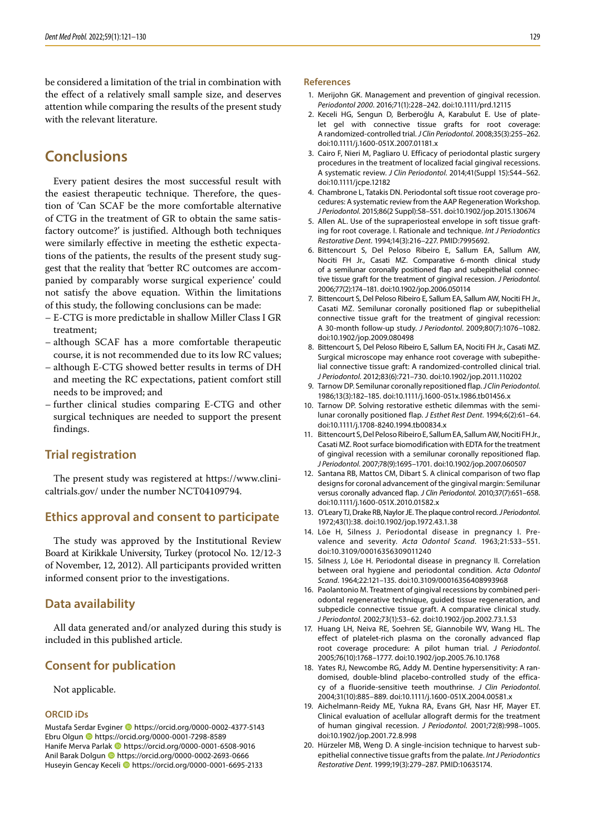be considered a limitation of the trial in combination with the effect of a relatively small sample size, and deserves attention while comparing the results of the present study with the relevant literature.

# **Conclusions**

Every patient desires the most successful result with the easiest therapeutic technique. Therefore, the question of 'Can SCAF be the more comfortable alternative of CTG in the treatment of GR to obtain the same satisfactory outcome?' is justified. Although both techniques were similarly effective in meeting the esthetic expectations of the patients, the results of the present study suggest that the reality that 'better RC outcomes are accompanied by comparably worse surgical experience' could not satisfy the above equation. Within the limitations of this study, the following conclusions can be made:

- E-CTG is more predictable in shallow Miller Class I GR treatment;
- although SCAF has a more comfortable therapeutic course, it is not recommended due to its low RC values;
- although E-CTG showed better results in terms of DH and meeting the RC expectations, patient comfort still needs to be improved; and
- further clinical studies comparing E-CTG and other surgical techniques are needed to support the present findings.

# **Trial registration**

The present study was registered at [https://www.clini](https://www.clinicaltrials.gov/)[caltrials.gov/](https://www.clinicaltrials.gov/) under the number NCT04109794.

### **Ethics approval and consent to participate**

The study was approved by the Institutional Review Board at Kirikkale University, Turkey (protocol No. 12/12-3 of November, 12, 2012). All participants provided written informed consent prior to the investigations.

### **Data availability**

All data generated and/or analyzed during this study is included in this published article.

# **Consent for publication**

Not applicable.

#### **ORCID iDs**

Mustafa Serdar Evginer <sup>1</sup> https://orcid.org/0000-0002-4377-5143 Ebru Olgun https://orcid.org/0000-0001-7298-8589 Hanife Merva Parlak **ID** https://orcid.org/0000-0001-6508-9016 Anil Barak Dolgun **I** https://orcid.org/0000-0002-2693-0666 Huseyin Gencay Keceli **ID** https://orcid.org/0000-0001-6695-2133

#### **References**

- 1. Merijohn GK. Management and prevention of gingival recession. *Periodontol 2000*. 2016;71(1):228–242. doi:10.1111/prd.12115
- 2. Keceli HG, Sengun D, Berberoğlu A, Karabulut E. Use of platelet gel with connective tissue grafts for root coverage: A randomized‐controlled trial. *J Clin Periodontol*. 2008;35(3):255–262. doi:10.1111/j.1600-051X.2007.01181.x
- 3. Cairo F, Nieri M, Pagliaro U. Efficacy of periodontal plastic surgery procedures in the treatment of localized facial gingival recessions. A systematic review. *J Clin Periodontol*. 2014;41(Suppl 15):S44–S62. doi:10.1111/jcpe.12182
- 4. Chambrone L, Tatakis DN. Periodontal soft tissue root coverage procedures: A systematic review from the AAP Regeneration Workshop. *J Periodontol*. 2015;86(2 Suppl):S8–S51. doi:10.1902/jop.2015.130674
- 5. Allen AL. Use of the supraperiosteal envelope in soft tissue grafting for root coverage. I. Rationale and technique. *Int J Periodontics Restorative Dent*. 1994;14(3):216–227. PMID:7995692.
- 6. Bittencourt S, Del Peloso Ribeiro E, Sallum EA, Sallum AW, Nociti FH Jr., Casati MZ. Comparative 6-month clinical study of a semilunar coronally positioned flap and subepithelial connective tissue graft for the treatment of gingival recession. *J Periodontol*. 2006;77(2):174–181. doi:10.1902/jop.2006.050114
- 7. Bittencourt S, Del Peloso Ribeiro E, Sallum EA, Sallum AW, Nociti FH Jr., Casati MZ. Semilunar coronally positioned flap or subepithelial connective tissue graft for the treatment of gingival recession: A 30-month follow-up study. *J Periodontol*. 2009;80(7):1076–1082. doi:10.1902/jop.2009.080498
- 8. Bittencourt S, Del Peloso Ribeiro E, Sallum EA, Nociti FH Jr., Casati MZ. Surgical microscope may enhance root coverage with subepithelial connective tissue graft: A randomized-controlled clinical trial. *J Periodontol*. 2012;83(6):721–730. doi:10.1902/jop.2011.110202
- 9. Tarnow DP. Semilunar coronally repositioned flap. *J Clin Periodontol*. 1986;13(3):182–185. doi:10.1111/j.1600-051x.1986.tb01456.x
- 10. Tarnow DP. Solving restorative esthetic dilemmas with the semilunar coronally positioned flap. *J Esthet Rest Dent*. 1994;6(2):61–64. doi:10.1111/j.1708-8240.1994.tb00834.x
- 11. Bittencourt S, Del Peloso Ribeiro E, Sallum EA, Sallum AW, Nociti FH Jr., Casati MZ. Root surface biomodification with EDTA for the treatment of gingival recession with a semilunar coronally repositioned flap. *J Periodontol*. 2007;78(9):1695–1701. doi:10.1902/jop.2007.060507
- 12. Santana RB, Mattos CM, Dibart S. A clinical comparison of two flap designs for coronal advancement of the gingival margin: Semilunar versus coronally advanced flap. *J Clin Periodontol*. 2010;37(7):651–658. doi:10.1111/j.1600-051X.2010.01582.x
- 13. O'Leary TJ, Drake RB, Naylor JE. The plaque control record. *J Periodontol*. 1972;43(1):38. doi:10.1902/jop.1972.43.1.38
- 14. Löe H, Silness J. Periodontal disease in pregnancy I. Prevalence and severity. *Acta Odontol Scand*. 1963;21:533–551. doi:10.3109/00016356309011240
- 15. Silness J, Löe H. Periodontal disease in pregnancy II. Correlation between oral hygiene and periodontal condition. *Acta Odontol Scand*. 1964;22:121–135. doi:10.3109/00016356408993968
- 16. Paolantonio M. Treatment of gingival recessions by combined periodontal regenerative technique, guided tissue regeneration, and subpedicle connective tissue graft. A comparative clinical study. *J Periodontol*. 2002;73(1):53–62. doi:10.1902/jop.2002.73.1.53
- 17. Huang LH, Neiva RE, Soehren SE, Giannobile WV, Wang HL. The effect of platelet-rich plasma on the coronally advanced flap root coverage procedure: A pilot human trial. *J Periodontol*. 2005;76(10):1768–1777. doi:10.1902/jop.2005.76.10.1768
- 18. Yates RJ, Newcombe RG, Addy M. Dentine hypersensitivity: A randomised, double‐blind placebo‐controlled study of the efficacy of a fluoride‐sensitive teeth mouthrinse. *J Clin Periodontol*. 2004;31(10):885–889. doi:10.1111/j.1600-051X.2004.00581.x
- 19. Aichelmann-Reidy ME, Yukna RA, Evans GH, Nasr HF, Mayer ET. Clinical evaluation of acellular allograft dermis for the treatment of human gingival recession. *J Periodontol*. 2001;72(8):998–1005. doi:10.1902/jop.2001.72.8.998
- 20. Hürzeler MB, Weng D. A single-incision technique to harvest subepithelial connective tissue grafts from the palate. *Int J Periodontics Restorative Dent*. 1999;19(3):279–287. PMID:10635174.